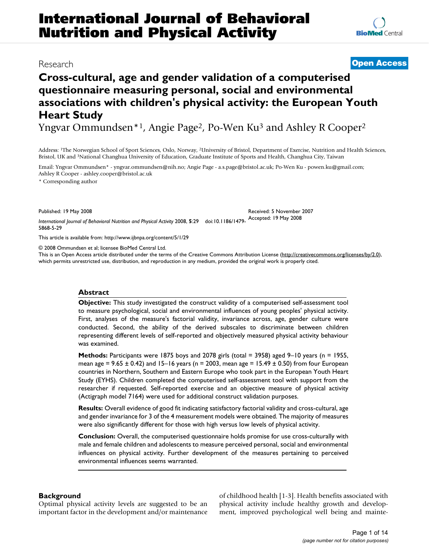# **Cross-cultural, age and gender validation of a computerised questionnaire measuring personal, social and environmental associations with children's physical activity: the European Youth Heart Study**

Yngvar Ommundsen\*<sup>1</sup>, Angie Page<sup>2</sup>, Po-Wen Ku<sup>3</sup> and Ashley R Cooper<sup>2</sup>

Address: 1The Norwegian School of Sport Sciences, Oslo, Norway, 2University of Bristol, Department of Exercise, Nutrition and Health Sciences, Bristol, UK and 3National Changhua University of Education, Graduate Institute of Sports and Health, Changhua City, Taiwan

Email: Yngvar Ommundsen\* - yngvar.ommundsen@nih.no; Angie Page - a.s.page@bristol.ac.uk; Po-Wen Ku - powen.ku@gmail.com; Ashley R Cooper - ashley.cooper@bristol.ac.uk

\* Corresponding author

Published: 19 May 2008

*International Journal of Behavioral Nutrition and Physical Activity* 2008, **5**:29 doi:10.1186/1479- Accepted: 19 May 2008 5868-5-29

[This article is available from: http://www.ijbnpa.org/content/5/1/29](http://www.ijbnpa.org/content/5/1/29)

© 2008 Ommundsen et al; licensee BioMed Central Ltd.

This is an Open Access article distributed under the terms of the Creative Commons Attribution License [\(http://creativecommons.org/licenses/by/2.0\)](http://creativecommons.org/licenses/by/2.0), which permits unrestricted use, distribution, and reproduction in any medium, provided the original work is properly cited.

## **Abstract**

**Objective:** This study investigated the construct validity of a computerised self-assessment tool to measure psychological, social and environmental influences of young peoples' physical activity. First, analyses of the measure's factorial validity, invariance across, age, gender culture were conducted. Second, the ability of the derived subscales to discriminate between children representing different levels of self-reported and objectively measured physical activity behaviour was examined.

**Methods:** Participants were 1875 boys and 2078 girls (total = 3958) aged 9–10 years (n = 1955, mean age =  $9.65 \pm 0.42$ ) and 15–16 years (n = 2003, mean age = 15.49  $\pm$  0.50) from four European countries in Northern, Southern and Eastern Europe who took part in the European Youth Heart Study (EYHS). Children completed the computerised self-assessment tool with support from the researcher if requested. Self-reported exercise and an objective measure of physical activity (Actigraph model 7164) were used for additional construct validation purposes.

**Results:** Overall evidence of good fit indicating satisfactory factorial validity and cross-cultural, age and gender invariance for 3 of the 4 measurement models were obtained. The majority of measures were also significantly different for those with high versus low levels of physical activity.

**Conclusion:** Overall, the computerised questionnaire holds promise for use cross-culturally with male and female children and adolescents to measure perceived personal, social and environmental influences on physical activity. Further development of the measures pertaining to perceived environmental influences seems warranted.

## **Background**

Optimal physical activity levels are suggested to be an important factor in the development and/or maintenance of childhood health [1-3]. Health benefits associated with physical activity include healthy growth and development, improved psychological well being and mainte-

Research **[Open Access](http://www.biomedcentral.com/info/about/charter/)**

Received: 5 November 2007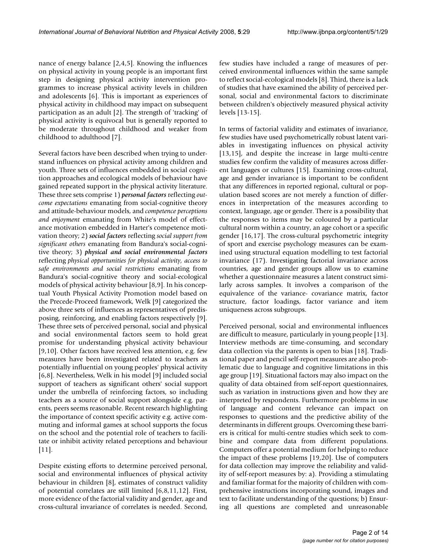nance of energy balance [2,4,5]. Knowing the influences on physical activity in young people is an important first step in designing physical activity intervention programmes to increase physical activity levels in children and adolescents [6]. This is important as experiences of physical activity in childhood may impact on subsequent participation as an adult [2]. The strength of 'tracking' of physical activity is equivocal but is generally reported to be moderate throughout childhood and weaker from childhood to adulthood [7].

Several factors have been described when trying to understand influences on physical activity among children and youth. Three sets of influences embedded in social cognition approaches and ecological models of behaviour have gained repeated support in the physical activity literature. These three sets comprise 1) *personal factors* reflecting *outcome expectations* emanating from social-cognitive theory and attitude-behaviour models, and *competence perceptions and enjoyment* emanating from White's model of effectance motivation embedded in Harter's competence motivation theory; 2) *social factors* reflecting *social support from significant others* emanating from Bandura's social-cognitive theory; 3) *physical and social environmental factors* reflecting *physical opportunities for physical activity, access to safe environments and social restrictions* emanating from Bandura's social-cognitive theory and social-ecological models of physical activity behaviour [8,9]. In his conceptual Youth Physical Activity Promotion model based on the Precede-Proceed framework, Welk [9] categorized the above three sets of influences as representatives of predisposing, reinforcing, and enabling factors respectively [9]. These three sets of perceived personal, social and physical and social environmental factors seem to hold great promise for understanding physical activity behaviour [9,10]. Other factors have received less attention, e.g. few measures have been investigated related to teachers as potentially influential on young peoples' physical activity [6,8]. Nevertheless, Welk in his model [9] included social support of teachers as significant others' social support under the umbrella of reinforcing factors, so including teachers as a source of social support alongside e.g. parents, peers seems reasonable. Recent research highlighting the importance of context specific activity e.g. active commuting and informal games at school supports the focus on the school and the potential role of teachers to facilitate or inhibit activity related perceptions and behaviour [11].

Despite existing efforts to determine perceived personal, social and environmental influences of physical activity behaviour in children [8], estimates of construct validity of potential correlates are still limited [6,8,11,12]. First, more evidence of the factorial validity and gender, age and cross-cultural invariance of correlates is needed. Second,

few studies have included a range of measures of perceived environmental influences within the same sample to reflect social-ecological models [8]. Third, there is a lack of studies that have examined the ability of perceived personal, social and environmental factors to discriminate between children's objectively measured physical activity levels [13-15].

In terms of factorial validity and estimates of invariance, few studies have used psychometrically robust latent variables in investigating influences on physical activity [13,15], and despite the increase in large multi-centre studies few confirm the validity of measures across different languages or cultures [15]. Examining cross-cultural, age and gender invariance is important to be confident that any differences in reported regional, cultural or population based scores are not merely a function of differences in interpretation of the measures according to context, language, age or gender. There is a possibility that the responses to items may be coloured by a particular cultural norm within a country, an age cohort or a specific gender [16,17]. The cross-cultural psychometric integrity of sport and exercise psychology measures can be examined using structural equation modelling to test factorial invariance (17). Investigating factorial invariance across countries, age and gender groups allow us to examine whether a questionnaire measures a latent construct similarly across samples. It involves a comparison of the equivalence of the variance- covariance matrix, factor structure, factor loadings, factor variance and item uniqueness across subgroups.

Perceived personal, social and environmental influences are difficult to measure, particularly in young people [13]. Interview methods are time-consuming, and secondary data collection via the parents is open to bias [18]. Traditional paper and pencil self-report measures are also problematic due to language and cognitive limitations in this age group [19]. Situational factors may also impact on the quality of data obtained from self-report questionnaires, such as variation in instructions given and how they are interpreted by respondents. Furthermore problems in use of language and content relevance can impact on responses to questions and the predictive ability of the determinants in different groups. Overcoming these barriers is critical for multi-centre studies which seek to combine and compare data from different populations. Computers offer a potential medium for helping to reduce the impact of these problems [19,20]. Use of computers for data collection may improve the reliability and validity of self-report measures by: a). Providing a stimulating and familiar format for the majority of children with comprehensive instructions incorporating sound, images and text to facilitate understanding of the questions; b) Ensuring all questions are completed and unreasonable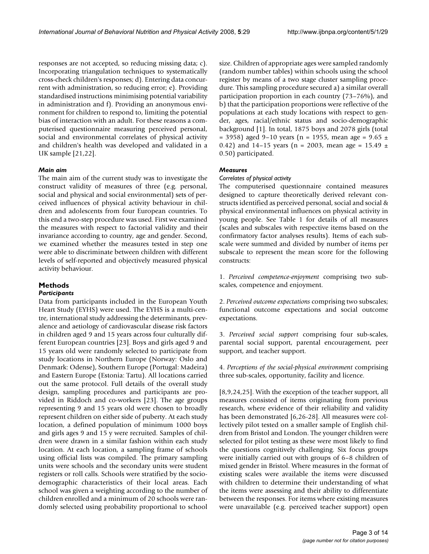responses are not accepted, so reducing missing data; c). Incorporating triangulation techniques to systematically cross-check children's responses; d). Entering data concurrent with administration, so reducing error; e). Providing standardised instructions minimising potential variability in administration and f). Providing an anonymous environment for children to respond to, limiting the potential bias of interaction with an adult. For these reasons a computerised questionnaire measuring perceived personal, social and environmental correlates of physical activity and children's health was developed and validated in a UK sample [21,22].

## *Main aim*

The main aim of the current study was to investigate the construct validity of measures of three (e.g. personal, social and physical and social environmental) sets of perceived influences of physical activity behaviour in children and adolescents from four European countries. To this end a two-step procedure was used. First we examined the measures with respect to factorial validity and their invariance according to country, age and gender. Second, we examined whether the measures tested in step one were able to discriminate between children with different levels of self-reported and objectively measured physical activity behaviour.

# **Methods**

# *Participants*

Data from participants included in the European Youth Heart Study (EYHS) were used. The EYHS is a multi-centre, international study addressing the determinants, prevalence and aetiology of cardiovascular disease risk factors in children aged 9 and 15 years across four culturally different European countries [23]. Boys and girls aged 9 and 15 years old were randomly selected to participate from study locations in Northern Europe (Norway: Oslo and Denmark: Odense), Southern Europe (Portugal: Madeira) and Eastern Europe (Estonia: Tartu). All locations carried out the same protocol. Full details of the overall study design, sampling procedures and participants are provided in Riddoch and co-workers [23]. The age groups representing 9 and 15 years old were chosen to broadly represent children on either side of puberty. At each study location, a defined population of minimum 1000 boys and girls ages 9 and 15 y were recruited. Samples of children were drawn in a similar fashion within each study location. At each location, a sampling frame of schools using official lists was compiled. The primary sampling units were schools and the secondary units were student registers or roll calls. Schools were stratified by the sociodemographic characteristics of their local areas. Each school was given a weighting according to the number of children enrolled and a minimum of 20 schools were randomly selected using probability proportional to school

size. Children of appropriate ages were sampled randomly (random number tables) within schools using the school register by means of a two stage cluster sampling procedure. This sampling procedure secured a) a similar overall participation proportion in each country (73–76%), and b) that the participation proportions were reflective of the populations at each study locations with respect to gender, ages, racial/ethnic status and socio-demographic background [1]. In total, 1875 boys and 2078 girls (total  $= 3958$ ) aged 9–10 years (n = 1955, mean age = 9.65  $\pm$ 0.42) and 14–15 years (n = 2003, mean age = 15.49  $\pm$ 0.50) participated.

# *Measures*

# *Correlates of physical activity*

The computerised questionnaire contained measures designed to capture theoretically derived relevant constructs identified as perceived personal, social and social & physical environmental influences on physical activity in young people. See Table 1 for details of all measures (scales and subscales with respective items based on the confirmatory factor analyses results). Items of each subscale were summed and divided by number of items per subscale to represent the mean score for the following constructs:

1. *Perceived competence-enjoyment* comprising two subscales, competence and enjoyment.

2. *Perceived outcome expectations* comprising two subscales; functional outcome expectations and social outcome expectations.

3. *Perceived social support* comprising four sub-scales, parental social support, parental encouragement, peer support, and teacher support.

4. *Perceptions of the social-physical environment* comprising three sub-scales, opportunity, facility and licence.

[8,9,24,25]. With the exception of the teacher support, all measures consisted of items originating from previous research, where evidence of their reliability and validity has been demonstrated [6,26-28]. All measures were collectively pilot tested on a smaller sample of English children from Bristol and London. The younger children were selected for pilot testing as these were most likely to find the questions cognitively challenging. Six focus groups were initially carried out with groups of 6–8 children of mixed gender in Bristol. Where measures in the format of existing scales were available the items were discussed with children to determine their understanding of what the items were assessing and their ability to differentiate between the responses. For items where existing measures were unavailable (e.g. perceived teacher support) open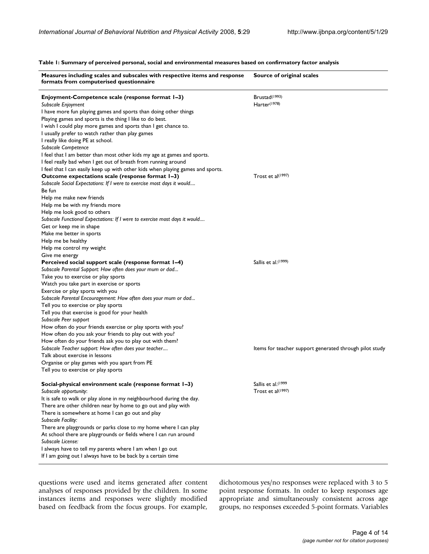#### **Table 1: Summary of perceived personal, social and environmental measures based on confirmatory factor analysis**

| Measures including scales and subscales with respective items and response<br>formats from computerised questionnaire                                                                                                                                                                                      | Source of original scales                               |
|------------------------------------------------------------------------------------------------------------------------------------------------------------------------------------------------------------------------------------------------------------------------------------------------------------|---------------------------------------------------------|
| Enjoyment-Competence scale (response format 1-3)<br>Subscale Enjoyment<br>I have more fun playing games and sports than doing other things<br>Playing games and sports is the thing I like to do best.                                                                                                     | Brustad <sup>(1993)</sup><br>Harter <sup>(1978)</sup>   |
| I wish I could play more games and sports than I get chance to.<br>I usually prefer to watch rather than play games<br>I really like doing PE at school.<br>Subscale Competence<br>I feel that I am better than most other kids my age at games and sports.                                                |                                                         |
| I feel really bad when I get out of breath from running around<br>I feel that I can easily keep up with other kids when playing games and sports.<br>Outcome expectations scale (response format I-3)<br>Subscale Social Expectations: If I were to exercise most days it would                            | Trost et al <sup>(1997)</sup>                           |
| Be fun<br>Help me make new friends<br>Help me be with my friends more<br>Help me look good to others<br>Subscale Functional Expectations: If I were to exercise most days it would                                                                                                                         |                                                         |
| Get or keep me in shape<br>Make me better in sports<br>Help me be healthy<br>Help me control my weight                                                                                                                                                                                                     |                                                         |
| Give me energy<br>Perceived social support scale (response format 1-4)<br>Subscale Parental Support: How often does your mum or dad<br>Take you to exercise or play sports<br>Watch you take part in exercise or sports                                                                                    | Sallis et al. <sup>(1999)</sup>                         |
| Exercise or play sports with you<br>Subscale Parental Encouragement: How often does your mum or dad<br>Tell you to exercise or play sports<br>Tell you that exercise is good for your health                                                                                                               |                                                         |
| Subscale Peer support<br>How often do your friends exercise or play sports with you?<br>How often do you ask your friends to play out with you?<br>How often do your friends ask you to play out with them?                                                                                                |                                                         |
| Subscale Teacher support: How often does your teacher<br>Talk about exercise in lessons<br>Organise or play games with you apart from PE<br>Tell you to exercise or play sports                                                                                                                            | Items for teacher support generated through pilot study |
| Social-physical environment scale (response format I-3)<br>Subscale opportunity:<br>It is safe to walk or play alone in my neighbourhood during the day.<br>There are other children near by home to go out and play with<br>There is somewhere at home I can go out and play<br><b>Subscale Facility:</b> | Sallis et al.(1999<br>Trost et al(1997)                 |
| There are playgrounds or parks close to my home where I can play<br>At school there are playgrounds or fields where I can run around<br>Subscale License:<br>I always have to tell my parents where I am when I go out<br>If I am going out I always have to be back by a certain time                     |                                                         |

questions were used and items generated after content analyses of responses provided by the children. In some instances items and responses were slightly modified based on feedback from the focus groups. For example, dichotomous yes/no responses were replaced with 3 to 5 point response formats. In order to keep responses age appropriate and simultaneously consistent across age groups, no responses exceeded 5-point formats. Variables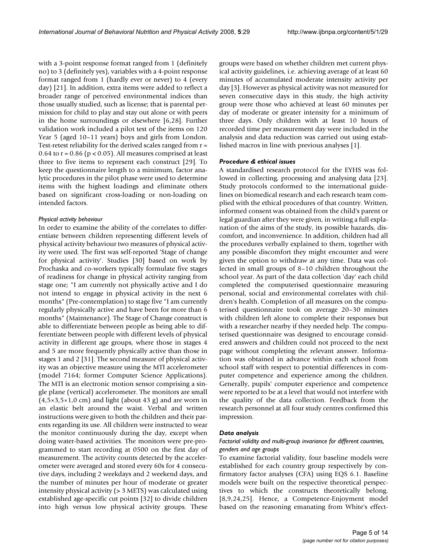with a 3-point response format ranged from 1 (definitely no) to 3 (definitely yes), variables with a 4-point response format ranged from 1 (hardly ever or never) to 4 (every day) [21]. In addition, extra items were added to reflect a broader range of perceived environmental indices than those usually studied, such as license; that is parental permission for child to play and stay out alone or with peers in the home surroundings or elsewhere [6,28]. Further validation work included a pilot test of the items on 120 Year 5 (aged 10–11 years) boys and girls from London. Test-retest reliability for the derived scales ranged from r = 0.64 to  $r = 0.86$  ( $p < 0.05$ ). All measures comprised at least three to five items to represent each construct [29]. To keep the questionnaire length to a minimum, factor analytic procedures in the pilot phase were used to determine items with the highest loadings and eliminate others based on significant cross-loading or non-loading on intended factors.

#### *Physical activity behaviour*

In order to examine the ability of the correlates to differentiate between children representing different levels of physical activity behaviour two measures of physical activity were used. The first was self-reported 'Stage of change for physical activity'. Studies [30] based on work by Prochaska and co-workers typically formulate five stages of readiness for change in physical activity ranging from stage one; "I am currently not physically active and I do not intend to engage in physical activity in the next 6 months" (Pre-contemplation) to stage five "I am currently regularly physically active and have been for more than 6 months" (Maintenance). The Stage of Change construct is able to differentiate between people as being able to differentiate between people with different levels of physical activity in different age groups, where those in stages 4 and 5 are more frequently physically active than those in stages 1 and 2 [31]. The second measure of physical activity was an objective measure using the MTI accelerometer (model 7164; former Computer Science Applications). The MTI is an electronic motion sensor comprising a single plane (vertical) accelerometer. The monitors are small  $(4.5\times3.5\times1.0 \text{ cm})$  and light (about 43 g) and are worn in an elastic belt around the waist. Verbal and written instructions were given to both the children and their parents regarding its use. All children were instructed to wear the monitor continuously during the day, except when doing water-based activities. The monitors were pre-programmed to start recording at 0500 on the first day of measurement. The activity counts detected by the accelerometer were averaged and stored every 60s for 4 consecutive days, including 2 weekdays and 2 weekend days, and the number of minutes per hour of moderate or greater intensity physical activity (> 3 METS) was calculated using established age-specific cut points [32] to divide children into high versus low physical activity groups. These

groups were based on whether children met current physical activity guidelines, i.e. achieving average of at least 60 minutes of accumulated moderate intensity activity per day [3]. However as physical activity was not measured for seven consecutive days in this study, the high activity group were those who achieved at least 60 minutes per day of moderate or greater intensity for a minimum of three days. Only children with at least 10 hours of recorded time per measurement day were included in the analysis and data reduction was carried out using established macros in line with previous analyses [1].

#### *Procedure & ethical issues*

A standardised research protocol for the EYHS was followed in collecting, processing and analysing data [23]. Study protocols conformed to the international guidelines on biomedical research and each research team complied with the ethical procedures of that country. Written, informed consent was obtained from the child's parent or legal guardian after they were given, in writing a full explanation of the aims of the study, its possible hazards, discomfort, and inconvenience. In addition, children had all the procedures verbally explained to them, together with any possible discomfort they might encounter and were given the option to withdraw at any time. Data was collected in small groups of 8–10 children throughout the school year. As part of the data collection 'day' each child completed the computerised questionnaire measuring personal, social and environmental correlates with children's health. Completion of all measures on the computerised questionnaire took on average 20–30 minutes with children left alone to complete their responses but with a researcher nearby if they needed help. The computerised questionnaire was designed to encourage considered answers and children could not proceed to the next page without completing the relevant answer. Information was obtained in advance within each school from school staff with respect to potential differences in computer competence and experience among the children. Generally, pupils' computer experience and competence were reported to be at a level that would not interfere with the quality of the data collection. Feedback from the research personnel at all four study centres confirmed this impression.

#### *Data analysis*

# *Factorial validity and multi-group invariance for different countries, genders and age groups*

To examine factorial validity, four baseline models were established for each country group respectively by confirmatory factor analyses (CFA) using EQS 6.1. Baseline models were built on the respective theoretical perspectives to which the constructs theoretically belong. [8,9,24,25]. Hence, a Competence-Enjoyment model based on the reasoning emanating from White's effect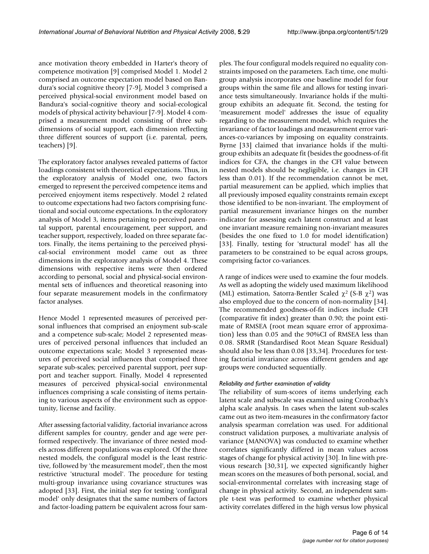ance motivation theory embedded in Harter's theory of competence motivation [9] comprised Model 1. Model 2 comprised an outcome expectation model based on Bandura's social cognitive theory [7-9], Model 3 comprised a perceived physical-social environment model based on Bandura's social-cognitive theory and social-ecological models of physical activity behaviour [7-9]. Model 4 comprised a measurement model consisting of three subdimensions of social support, each dimension reflecting three different sources of support (i.e. parental, peers, teachers) [9].

The exploratory factor analyses revealed patterns of factor loadings consistent with theoretical expectations. Thus, in the exploratory analysis of Model one, two factors emerged to represent the perceived competence items and perceived enjoyment items respectively. Model 2 related to outcome expectations had two factors comprising functional and social outcome expectations. In the exploratory analysis of Model 3, items pertaining to perceived parental support, parental encouragement, peer support, and teacher support, respectively, loaded on three separate factors. Finally, the items pertaining to the perceived physical-social environment model came out as three dimensions in the exploratory analysis of Model 4. These dimensions with respective items were then ordered according to personal, social and physical-social environmental sets of influences and theoretical reasoning into four separate measurement models in the confirmatory factor analyses.

Hence Model 1 represented measures of perceived personal influences that comprised an enjoyment sub-scale and a competence sub-scale; Model 2 represented measures of perceived personal influences that included an outcome expectations scale; Model 3 represented measures of perceived social influences that comprised three separate sub-scales; perceived parental support, peer support and teacher support. Finally, Model 4 represented measures of perceived physical-social environmental influences comprising a scale consisting of items pertaining to various aspects of the environment such as opportunity, license and facility.

After assessing factorial validity, factorial invariance across different samples for country, gender and age were performed respectively. The invariance of three nested models across different populations was explored. Of the three nested models, the configural model is the least restrictive, followed by 'the measurement model', then the most restrictive 'structural model'. The procedure for testing multi-group invariance using covariance structures was adopted [33]. First, the initial step for testing 'configural model' only designates that the same numbers of factors and factor-loading pattern be equivalent across four samples. The four configural models required no equality constraints imposed on the parameters. Each time, one multigroup analysis incorporates one baseline model for four groups within the same file and allows for testing invariance tests simultaneously. Invariance holds if the multigroup exhibits an adequate fit. Second, the testing for 'measurement model' addresses the issue of equality regarding to the measurement model, which requires the invariance of factor loadings and measurement error variances-co-variances by imposing on equality constraints. Byrne [33] claimed that invariance holds if the multigroup exhibits an adequate fit (besides the goodness-of-fit indices for CFA, the changes in the CFI value between nested models should be negligible, i.e. changes in CFI less than 0.01). If the recommendation cannot be met, partial measurement can be applied, which implies that all previously imposed equality constraints remain except those identified to be non-invariant. The employment of partial measurement invariance hinges on the number indicator for assessing each latent construct and at least one invariant measure remaining non-invariant measures (besides the one fixed to 1.0 for model identification) [33]. Finally, testing for 'structural model' has all the parameters to be constrained to be equal across groups, comprising factor co-variances.

A range of indices were used to examine the four models. As well as adopting the widely used maximum likelihood (ML) estimation, Satorra-Bentler Scaled  $\gamma^2$  (S-B  $\gamma^2$ ) was also employed due to the concern of non-normality [34]. The recommended goodness-of-fit indices include CFI (comparative fit index) greater than 0.90; the point estimate of RMSEA (root mean square error of approximation) less than 0.05 and the 90%CI of RMSEA less than 0.08. SRMR (Standardised Root Mean Square Residual) should also be less than 0.08 [33,34]. Procedures for testing factorial invariance across different genders and age groups were conducted sequentially.

# *Reliability and further examination of validity*

The reliability of sum-scores of items underlying each latent scale and subscale was examined using Cronbach's alpha scale analysis. In cases when the latent sub-scales came out as two item-measures in the confirmatory factor analysis spearman correlation was used. For additional construct validation purposes, a multivariate analysis of variance (MANOVA) was conducted to examine whether correlates significantly differed in mean values across stages of change for physical activity [30]. In line with previous research [30,31], we expected significantly higher mean scores on the measures of both personal, social, and social-environmental correlates with increasing stage of change in physical activity. Second, an independent sample t-test was performed to examine whether physical activity correlates differed in the high versus low physical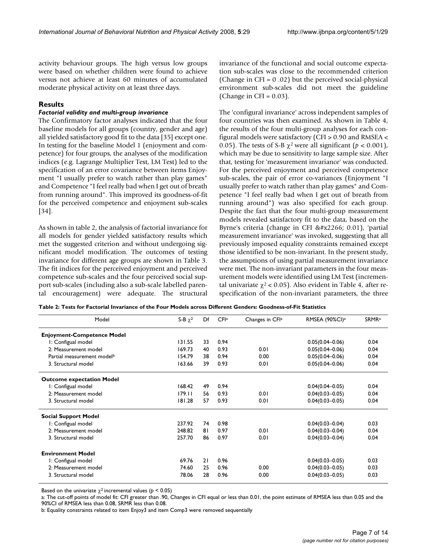activity behaviour groups. The high versus low groups were based on whether children were found to achieve versus not achieve at least 60 minutes of accumulated moderate physical activity on at least three days.

# **Results**

# *Factorial validity and multi-group invariance*

The Confirmatory factor analyses indicated that the four baseline models for all groups (country, gender and age) all yielded satisfactory good fit to the data [35] except one. In testing for the baseline Model 1 (enjoyment and competence) for four groups, the analyses of the modification indices (e.g. Lagrange Multiplier Test, LM Test) led to the specification of an error covariance between items Enjoyment "I usually prefer to watch rather than play games" and Competence "I feel really bad when I get out of breath from running around". This improved its goodness-of-fit for the perceived competence and enjoyment sub-scales [34].

As shown in table 2, the analysis of factorial invariance for all models for gender yielded satisfactory results which met the suggested criterion and without undergoing significant model modification. The outcomes of testing invariance for different age groups are shown in Table 3. The fit indices for the perceived enjoyment and perceived competence sub-scales and the four perceived social support sub-scales (including also a sub-scale labelled parental encouragement) were adequate. The structural invariance of the functional and social outcome expectation sub-scales was close to the recommended criterion (Change in CFI =  $0.02$ ) but the perceived social-physical environment sub-scales did not meet the guideline (Change in CFI =  $0.03$ ).

The 'configural invariance' across independent samples of four countries was then examined. As shown in Table 4, the results of the four multi-group analyses for each configural models were satisfactory (CFI > 0.90 and RMSEA < 0.05). The tests of S-B  $\chi^2$  were all significant ( $p < 0.001$ ), which may be due to sensitivity to large sample size. After that, testing for 'measurement invariance' was conducted. For the perceived enjoyment and perceived competence sub-scales, the pair of error co-variances (Enjoyment "I usually prefer to watch rather than play games" and Competence "I feel really bad when I get out of breath from running around") was also specified for each group. Despite the fact that the four multi-group measurement models revealed satisfactory fit to the data, based on the Byrne's criteria (change in CFI  $&\#x2266$ ; 0.01), 'partial measurement invariance' was invoked, suggesting that all previously imposed equality constraints remained except those identified to be non-invariant. In the present study, the assumptions of using partial measurement invariance were met. The non-invariant parameters in the four measurement models were identified using LM Test (incremental univariate  $χ² < 0.05$ ). Also evident in Table 4, after respecification of the non-invariant parameters, the three

| Model                                  | S-B $\chi^2$ | Df | CFI <sup>a</sup> | Changes in CFI <sup>a</sup> | RMSEA (90%CI) <sup>a</sup> | <b>SRMR</b> a |
|----------------------------------------|--------------|----|------------------|-----------------------------|----------------------------|---------------|
| <b>Enjoyment-Competence Model</b>      |              |    |                  |                             |                            |               |
| I: Configual model                     | 131.55       | 33 | 0.94             |                             | $0.05(0.04 - 0.06)$        | 0.04          |
| 2: Measurement model                   | 169.73       | 40 | 0.93             | 0.01                        | $0.05(0.04 - 0.06)$        | 0.04          |
| Partial measurement model <sup>b</sup> | 154.79       | 38 | 0.94             | 0.00                        | $0.05(0.04 - 0.06)$        | 0.04          |
| 3. Structural model                    | 163.66       | 39 | 0.93             | 0.01                        | $0.05(0.04 - 0.06)$        | 0.04          |
| <b>Outcome expectation Model</b>       |              |    |                  |                             |                            |               |
| I: Configual model                     | 168.42       | 49 | 0.94             |                             | $0.04(0.04 - 0.05)$        | 0.04          |
| 2: Measurement model                   | 179.11       | 56 | 0.93             | 0.01                        | $0.04(0.03 - 0.05)$        | 0.04          |
| 3. Structural model                    | 181.28       | 57 | 0.93             | 0.01                        | $0.04(0.03 - 0.05)$        | 0.04          |
| <b>Social Support Model</b>            |              |    |                  |                             |                            |               |
| I: Configual model                     | 237.92       | 74 | 0.98             |                             | $0.04(0.03 - 0.04)$        | 0.03          |
| 2: Measurement model                   | 248.82       | 81 | 0.97             | 0.01                        | $0.04(0.03 - 0.04)$        | 0.04          |
| 3. Structural model                    | 257.70       | 86 | 0.97             | 0.01                        | $0.04(0.03 - 0.04)$        | 0.04          |
| <b>Environment Model</b>               |              |    |                  |                             |                            |               |
| I: Configual model                     | 69.76        | 21 | 0.96             |                             | $0.04(0.03 - 0.05)$        | 0.03          |
| 2: Measurement model                   | 74.60        | 25 | 0.96             | 0.00                        | $0.04(0.03 - 0.05)$        | 0.03          |
| 3. Structural model                    | 78.06        | 28 | 0.96             | 0.00                        | $0.04(0.03 - 0.05)$        | 0.03          |

Based on the univariate  $\chi^2$  incremental values ( $p < 0.05$ )

a: The cut-off points of model fit: CFI greater than .90, Changes in CFI equal or less than 0.01, the point estimate of RMSEA less than 0.05 and the 90%CI of RMSEA less than 0.08, SRMR less than 0.08.

b: Equality constraints related to item Enjoy3 and item Comp3 were removed sequentially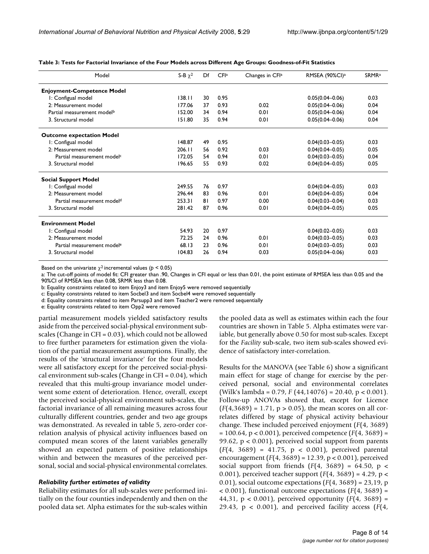| Model                                  | S-B $\chi^2$ | Df | CFI <sup>a</sup> | Changes in CFI <sup>a</sup> | RMSEA (90%CI) <sup>a</sup> | <b>SRMR</b> a |
|----------------------------------------|--------------|----|------------------|-----------------------------|----------------------------|---------------|
| <b>Enjoyment-Competence Model</b>      |              |    |                  |                             |                            |               |
| I: Configual model                     | 138.11       | 30 | 0.95             |                             | $0.05(0.04 - 0.06)$        | 0.03          |
| 2: Measurement model                   | 177.06       | 37 | 0.93             | 0.02                        | $0.05(0.04 - 0.06)$        | 0.04          |
| Partial measurement model <sup>b</sup> | 152.00       | 34 | 0.94             | 0.01                        | $0.05(0.04 - 0.06)$        | 0.04          |
| 3. Structural model                    | 151.80       | 35 | 0.94             | 0.01                        | $0.05(0.04 - 0.06)$        | 0.04          |
| <b>Outcome expectation Model</b>       |              |    |                  |                             |                            |               |
| I: Configual model                     | 148.87       | 49 | 0.95             |                             | $0.04(0.03 - 0.05)$        | 0.03          |
| 2: Measurement model                   | 206.11       | 56 | 0.92             | 0.03                        | $0.04(0.04 - 0.05)$        | 0.05          |
| Partial measurement model <sup>c</sup> | 172.05       | 54 | 0.94             | 0.01                        | $0.04(0.03 - 0.05)$        | 0.04          |
| 3. Structural model                    | 196.65       | 55 | 0.93             | 0.02                        | $0.04(0.04 - 0.05)$        | 0.05          |
| <b>Social Support Model</b>            |              |    |                  |                             |                            |               |
| I: Configual model                     | 249.55       | 76 | 0.97             |                             | $0.04(0.04 - 0.05)$        | 0.03          |
| 2: Measurement model                   | 296.44       | 83 | 0.96             | 0.01                        | $0.04(0.04 - 0.05)$        | 0.04          |
| Partial measurement model <sup>d</sup> | 253.31       | 81 | 0.97             | 0.00                        | $0.04(0.03 - 0.04)$        | 0.03          |
| 3. Structural model                    | 281.42       | 87 | 0.96             | 0.01                        | $0.04(0.04 - 0.05)$        | 0.05          |
| <b>Environment Model</b>               |              |    |                  |                             |                            |               |
| I: Configual model                     | 54.93        | 20 | 0.97             |                             | $0.04(0.02 - 0.05)$        | 0.03          |
| 2: Measurement model                   | 72.25        | 24 | 0.96             | 0.01                        | $0.04(0.03 - 0.05)$        | 0.03          |
| Partial measurement model <sup>e</sup> | 68.13        | 23 | 0.96             | 0.01                        | $0.04(0.03 - 0.05)$        | 0.03          |
| 3. Structural model                    | 104.83       | 26 | 0.94             | 0.03                        | $0.05(0.04 - 0.06)$        | 0.03          |

**Table 3: Tests for Factorial Invariance of the Four Models across Different Age Groups: Goodness-of-Fit Statistics**

Based on the univariate  $\chi^2$  incremental values ( $p < 0.05$ )

a: The cut-off points of model fit: CFI greater than .90, Changes in CFI equal or less than 0.01, the point estimate of RMSEA less than 0.05 and the 90%CI of RMSEA less than 0.08, SRMR less than 0.08.

b: Equality constraints related to item Enjoy3 and item Enjoy5 were removed sequentially

c: Equality constraints related to item Socbel3 and item Socbel4 were removed sequentially

d: Equality constraints related to item Parsupp3 and item Teacher2 were removed sequentially

e: Equality constraints related to item Opp2 were removed

partial measurement models yielded satisfactory results aside from the perceived social-physical environment subscales (Change in CFI = 0.03), which could not be allowed to free further parameters for estimation given the violation of the partial measurement assumptions. Finally, the results of the 'structural invariance' for the four models were all satisfactory except for the perceived social-physical environment sub-scales (Change in CFI = 0.04), which revealed that this multi-group invariance model underwent some extent of deterioration. Hence, overall, except the perceived social-physical environment sub-scales, the factorial invariance of all remaining measures across four culturally different countries, gender and two age groups was demonstrated. As revealed in table 5, zero-order correlation analysis of physical activity influences based on computed mean scores of the latent variables generally showed an expected pattern of positive relationships within and between the measures of the perceived personal, social and social-physical environmental correlates.

#### *Reliability further estimates of validity*

Reliability estimates for all sub-scales were performed initially on the four counties independently and then on the pooled data set. Alpha estimates for the sub-scales within

the pooled data as well as estimates within each the four countries are shown in Table 5. Alpha estimates were variable, but generally above 0.50 for most sub-scales. Except for the *Facility* sub-scale, two item sub-scales showed evidence of satisfactory inter-correlation.

Results for the MANOVA (see Table 6) show a significant main effect for stage of change for exercise by the perceived personal, social and environmental correlates (Wilk's lambda = 0.79, *F* (44,14076) = 20.40, p < 0.001). Follow-up ANOVAs showed that, except for Licence  $(F(4,3689) = 1.71, p > 0.05)$ , the mean scores on all correlates differed by stage of physical activity behaviour change. These included perceived enjoyment (*F*(4, 3689) = 100.64, p < 0.001), perceived competence (*F*(4, 3689) = 99.62,  $p < 0.001$ ), perceived social support from parents (*F*(4, 3689) = 41.75, p < 0.001), perceived parental encouragement (*F*(4, 3689) = 12.39, p < 0.001), perceived social support from friends  $(F(4, 3689) = 64.50, p <$ 0.001), perceived teacher support (*F*(4, 3689) = 4.29, p < 0.01), social outcome expectations (*F*(4, 3689) = 23,19, p < 0.001), functional outcome expectations (*F*(4, 3689) = 44,31, p < 0.001), perceived opportunity (*F*(4, 3689) = 29.43, p < 0.001), and perceived facility access (*F*(4,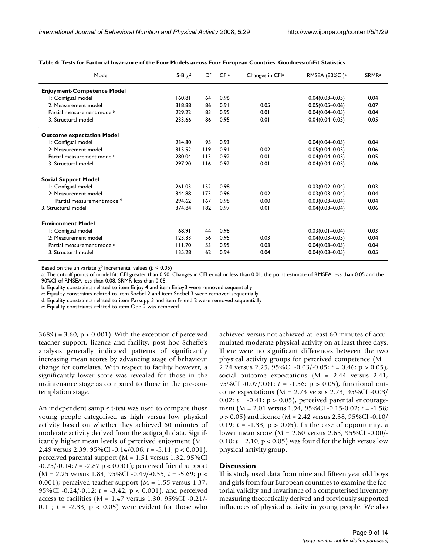| Model                                  | S-B $\chi^2$ | Df  | CFI <sup>a</sup> | Changes in CFI <sup>a</sup> | RMSEA (90%CI) <sup>a</sup> | <b>SRMR</b> <sup>a</sup> |
|----------------------------------------|--------------|-----|------------------|-----------------------------|----------------------------|--------------------------|
| <b>Enjoyment-Competence Model</b>      |              |     |                  |                             |                            |                          |
| I: Configual model                     | 160.81       | 64  | 0.96             |                             | $0.04(0.03 - 0.05)$        | 0.04                     |
| 2: Measurement model                   | 318.88       | 86  | 0.91             | 0.05                        | $0.05(0.05 - 0.06)$        | 0.07                     |
| Partial measurement model <sup>b</sup> | 229.22       | 83  | 0.95             | 0.01                        | $0.04(0.04 - 0.05)$        | 0.04                     |
| 3. Structural model                    | 233.66       | 86  | 0.95             | 0.01                        | $0.04(0.04 - 0.05)$        | 0.05                     |
| <b>Outcome expectation Model</b>       |              |     |                  |                             |                            |                          |
| I: Configual model                     | 234.80       | 95  | 0.93             |                             | $0.04(0.04 - 0.05)$        | 0.04                     |
| 2: Measurement model                   | 315.52       | 119 | 0.91             | 0.02                        | $0.05(0.04 - 0.05)$        | 0.06                     |
| Partial measurement model <sup>c</sup> | 280.04       | 113 | 0.92             | 0.01                        | $0.04(0.04 - 0.05)$        | 0.05                     |
| 3. Structural model                    | 297.20       | 116 | 0.92             | 0.01                        | $0.04(0.04 - 0.05)$        | 0.06                     |
| <b>Social Support Model</b>            |              |     |                  |                             |                            |                          |
| I: Configual model                     | 261.03       | 152 | 0.98             |                             | $0.03(0.02 - 0.04)$        | 0.03                     |
| 2: Measurement model                   | 344.88       | 173 | 0.96             | 0.02                        | $0.03(0.03 - 0.04)$        | 0.04                     |
| Partial measurement model <sup>d</sup> | 294.62       | 167 | 0.98             | 0.00                        | $0.03(0.03 - 0.04)$        | 0.04                     |
| 3. Structural model                    | 374.84       | 182 | 0.97             | 0.01                        | $0.04(0.03 - 0.04)$        | 0.06                     |
| <b>Environment Model</b>               |              |     |                  |                             |                            |                          |
| I: Configual model                     | 68.91        | 44  | 0.98             |                             | $0.03(0.01 - 0.04)$        | 0.03                     |
| 2: Measurement model                   | 123.33       | 56  | 0.95             | 0.03                        | $0.04(0.03 - 0.05)$        | 0.04                     |
| Partial measurement model <sup>e</sup> | 111.70       | 53  | 0.95             | 0.03                        | $0.04(0.03 - 0.05)$        | 0.04                     |
| 3. Structural model                    | 135.28       | 62  | 0.94             | 0.04                        | $0.04(0.03 - 0.05)$        | 0.05                     |

#### **Table 4: Tests for Factorial Invariance of the Four Models across Four European Countries: Goodness-of-Fit Statistics**

Based on the univariate  $\gamma^2$  incremental values ( $p < 0.05$ )

a: The cut-off points of model fit: CFI greater than 0.90, Changes in CFI equal or less than 0.01, the point estimate of RMSEA less than 0.05 and the 90%CI of RMSEA less than 0.08, SRMR less than 0.08.

b: Equality constraints related to item Enjoy 4 and item Enjoy3 were removed sequentially

c: Equality constraints related to item Socbel 2 and item Socbel 3 were removed sequentially

d: Equality constraints related to item Parsupp 3 and item Friend 2 were removed sequentially

e: Equality constraints related to item Opp 2 was removed

3689) = 3.60, p < 0.001). With the exception of perceived teacher support, licence and facility, post hoc Scheffe's analysis generally indicated patterns of significantly increasing mean scores by advancing stage of behaviour change for correlates. With respect to facility however, a significantly lower score was revealed for those in the maintenance stage as compared to those in the pre-contemplation stage.

An independent sample t-test was used to compare those young people categorised as high versus low physical activity based on whether they achieved 60 minutes of moderate activity derived from the actigraph data. Significantly higher mean levels of perceived enjoyment (M = 2.49 versus 2.39, 95%CI -0.14/0.06; *t* = -5.11; p < 0.001), perceived parental support (M = 1.51 versus 1.32. 95%CI -0.25/-0.14; *t* = -2.87 p < 0.001); perceived friend support (M = 2.25 versus 1.84, 95%CI -0.49/-0.35; *t* = -5.69; p < 0.001); perceived teacher support ( $M = 1.55$  versus 1.37, 95%CI -0.24/-0.12; *t* = -3.42; p < 0.001), and perceived access to facilities ( $M = 1.47$  versus 1.30, 95%CI -0.21/-0.11;  $t = -2.33$ ;  $p < 0.05$ ) were evident for those who achieved versus not achieved at least 60 minutes of accumulated moderate physical activity on at least three days. There were no significant differences between the two physical activity groups for perceived competence (M = 2.24 versus 2.25, 95%CI -0.03/-0.05; *t* = 0.46; p > 0.05), social outcome expectations  $(M = 2.44$  versus 2.41, 95%CI -0.07/0.01; *t* = -1.56; p > 0.05), functional outcome expectations (M = 2.73 versus 2.73, 95%CI -0.03/ 0.02;  $t = -0.41$ ;  $p > 0.05$ ), perceived parental encouragement (M = 2.01 versus 1.94, 95%CI -0.15-0.02; *t* = -1.58; p > 0.05) and licence (M = 2.42 versus 2.38, 95%CI -0.10/ 0.19;  $t = -1.33$ ;  $p > 0.05$ ). In the case of opportunity, a lower mean score (M = 2.60 versus 2.65, 95%CI -0.00/- 0.10;  $t = 2.10$ ;  $p < 0.05$ ) was found for the high versus low physical activity group.

#### **Discussion**

This study used data from nine and fifteen year old boys and girls from four European countries to examine the factorial validity and invariance of a computerised inventory measuring theoretically derived and previously supported influences of physical activity in young people. We also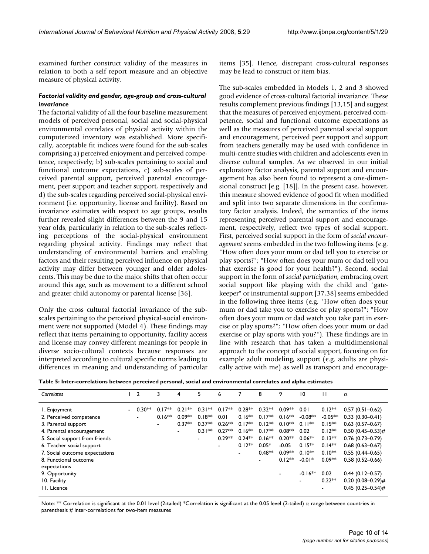examined further construct validity of the measures in relation to both a self report measure and an objective measure of physical activity.

## *Factorial validity and gender, age-group and cross-cultural invariance*

The factorial validity of all the four baseline measurement models of perceived personal, social and social-physical environmental correlates of physical activity within the computerized inventory was established. More specifically, acceptable fit indices were found for the sub-scales comprising a) perceived enjoyment and perceived competence, respectively; b) sub-scales pertaining to social and functional outcome expectations, c) sub-scales of perceived parental support, perceived parental encouragement, peer support and teacher support, respectively and d) the sub-scales regarding perceived social-physical environment (i.e. opportunity, license and facility). Based on invariance estimates with respect to age groups, results further revealed slight differences between the 9 and 15 year olds, particularly in relation to the sub-scales reflecting perceptions of the social-physical environment regarding physical activity. Findings may reflect that understanding of environmental barriers and enabling factors and their resulting perceived influence on physical activity may differ between younger and older adolescents. This may be due to the major shifts that often occur around this age, such as movement to a different school and greater child autonomy or parental license [36].

Only the cross cultural factorial invariance of the subscales pertaining to the perceived physical-social environment were not supported (Model 4). These findings may reflect that items pertaining to opportunity, facility access and license may convey different meanings for people in diverse socio-cultural contexts because responses are interpreted according to cultural specific norms leading to differences in meaning and understanding of particular items [35]. Hence, discrepant cross-cultural responses may be lead to construct or item bias.

The sub-scales embedded in Models 1, 2 and 3 showed good evidence of cross-cultural factorial invariance. These results complement previous findings [13,15] and suggest that the measures of perceived enjoyment, perceived competence, social and functional outcome expectations as well as the measures of perceived parental social support and encouragement, perceived peer support and support from teachers generally may be used with confidence in multi-centre studies with children and adolescents even in diverse cultural samples. As we observed in our initial exploratory factor analysis, parental support and encouragement has also been found to represent a one-dimensional construct [e.g. [18]]. In the present case, however, this measure showed evidence of good fit when modified and split into two separate dimensions in the confirmatory factor analysis. Indeed, the semantics of the items representing perceived parental support and encouragement, respectively, reflect two types of social support. First, perceived social support in the form of *social encouragement* seems embedded in the two following items (e.g. "How often does your mum or dad tell you to exercise or play sports?"; "How often does your mum or dad tell you that exercise is good for your health?"). Second, social support in the form of *social participation*, embracing overt social support like playing with the child and "gatekeeper" or instrumental support [37,38] seems embedded in the following three items (e.g. "How often does your mum or dad take you to exercise or play sports?"; "How often does your mum or dad watch you take part in exercise or play sports?"; "How often does your mum or dad exercise or play sports with you?"). These findings are in line with research that has taken a multidimensional approach to the concept of social support, focusing on for example adult modeling, support (e.g. adults are physically active with me) as well as transport and encourage-

**Table 5: Inter-correlations between perceived personal, social and environmental correlates and alpha estimates**

| Correlates                              |                          | $\overline{2}$             | 3                        | 4                     | 5.                   | 6                        |                      | 8                        | 9                    | 10                | п                     | $\alpha$                                   |
|-----------------------------------------|--------------------------|----------------------------|--------------------------|-----------------------|----------------------|--------------------------|----------------------|--------------------------|----------------------|-------------------|-----------------------|--------------------------------------------|
| I. Enjoyment<br>2. Perceived competence | $\overline{\phantom{0}}$ | $0.30**$<br>$\blacksquare$ | $0.17**$<br>$0.16***$    | $0.21***$<br>$0.09**$ | $0.31**$<br>$0.18**$ | $0.17**$<br>0.01         | $0.28**$<br>$0.16**$ | $0.32**$<br>$0.17**$     | $0.09**$<br>$0.16**$ | 0.01<br>$-0.08**$ | $0.12**$<br>$-0.05**$ | $0.57(0.51 - 0.62)$<br>$0.33(0.30 - 0.41)$ |
| 3. Parental support                     |                          |                            | $\overline{\phantom{0}}$ | $0.37**$              | $0.37**$             | $0.26**$                 | $0.17**$             | $0.12**$                 | $0.10**$             | $0.11***$         | $0.15**$              | $0.63(0.57-0.67)$                          |
| 4. Parental encouragement               |                          |                            |                          |                       | $0.31***$            | $0.27**$                 | $0.16***$            | $0.17**$                 | $0.08**$             | 0.02              | $0.12**$              | $0.50(0.45 - 0.53)$ #                      |
| 5. Social support from friends          |                          |                            |                          |                       | ۰.                   | $0.29***$                | $0.24***$            | $0.16**$                 | $0.20**$             | $0.06***$         | $0.13***$             | $0.76(0.73 - 0.79)$                        |
| 6. Teacher social support               |                          |                            |                          |                       |                      | $\overline{\phantom{a}}$ | $0.12**$             | $0.05*$                  | $-0.05$              | $0.15***$         | $0.14**$              | $0.68(0.63 - 0.67)$                        |
| 7. Social outcome expectations          |                          |                            |                          |                       |                      |                          |                      | $0.48**$                 | $0.09**$             | $0.10**$          | $0.10**$              | $0.55(0.44 - 0.65)$                        |
| 8. Functional outcome<br>expectations   |                          |                            |                          |                       |                      |                          |                      | $\overline{\phantom{0}}$ | $0.12**$             | $-0.01*$          | $0.09**$              | $0.58(0.52 - 0.66)$                        |
| 9. Opportunity                          |                          |                            |                          |                       |                      |                          |                      |                          |                      | -0.16**           | 0.02                  | $0.44(0.12 - 0.57)$                        |
| 10. Facility                            |                          |                            |                          |                       |                      |                          |                      |                          |                      | ٠                 | $0.22**$              | $0.20(0.08-0.29)$ #                        |
| II. Licence                             |                          |                            |                          |                       |                      |                          |                      |                          |                      |                   |                       | $0.45(0.25-0.54)$ #                        |

Note: \*\* Correlation is significant at the 0.01 level (2-tailed) \*Correlation is significant at the 0.05 level (2-tailed)  $\alpha$  range between countries in parenthesis # inter-correlations for two-item measures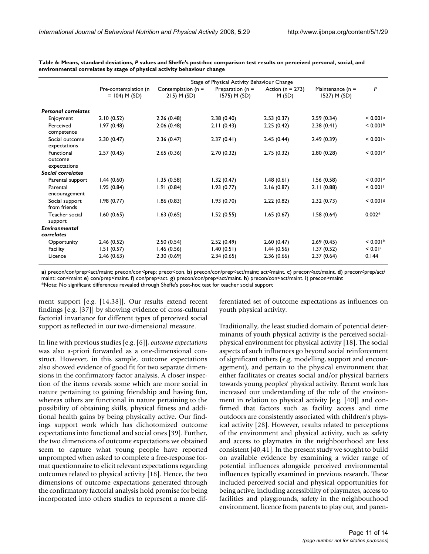|                                       | Stage of Physical Activity Behaviour Change |                                      |                                     |                               |                                     |                        |  |  |  |
|---------------------------------------|---------------------------------------------|--------------------------------------|-------------------------------------|-------------------------------|-------------------------------------|------------------------|--|--|--|
|                                       | Pre-contemplation (n<br>$= 104$ ) M (SD)    | Contemplation ( $n =$<br>215) M (SD) | Preparation ( $n =$<br>1575) M (SD) | Action ( $n = 273$ )<br>M(SD) | Maintenance ( $n =$<br>1527) M (SD) | P                      |  |  |  |
| <b>Personal correlates</b>            |                                             |                                      |                                     |                               |                                     |                        |  |  |  |
| Enjoyment                             | 2.10(0.52)                                  | 2.26(0.48)                           | 2.38(0.40)                          | 2.53(0.37)                    | 2.59(0.34)                          | < 0.001a               |  |  |  |
| Perceived<br>competence               | 1.97(0.48)                                  | 2.06(0.48)                           | 2.11(0.43)                          | 2.25(0.42)                    | 2.38(0.41)                          | < 0.001 <sup>b</sup>   |  |  |  |
| Social outcome<br>expectations        | 2.30(0.47)                                  | 2.36(0.47)                           | 2.37(0.41)                          | 2.45(0.44)                    | 2.49(0.39)                          | < 0.001c               |  |  |  |
| Functional<br>outcome<br>expectations | 2.57(0.45)                                  | 2.65(0.36)                           | 2.70(0.32)                          | 2.75(0.32)                    | 2.80(0.28)                          | < 0.001 <sup>d</sup>   |  |  |  |
| <b>Social correlates</b>              |                                             |                                      |                                     |                               |                                     |                        |  |  |  |
| Parental support                      | 1.44(0.60)                                  | 1.35(0.58)                           | 1.32(0.47)                          | 1.48(0.61)                    | 1.56(0.58)                          | < 0.001e               |  |  |  |
| Parental<br>encouragement             | 1.95(0.84)                                  | 1.91(0.84)                           | 1.93(0.77)                          | 2.16(0.87)                    | 2.11(0.88)                          | $< 0.001$ f            |  |  |  |
| Social support<br>from friends        | 1.98(0.77)                                  | 1.86(0.83)                           | 1.93(0.70)                          | 2.22(0.82)                    | 2.32(0.73)                          | < 0.0018               |  |  |  |
| Teacher social<br>support             | 1.60(0.65)                                  | 1.63(0.65)                           | 1.52(0.55)                          | 1.65(0.67)                    | 1.58(0.64)                          | $0.002*$               |  |  |  |
| <b>Environmental</b>                  |                                             |                                      |                                     |                               |                                     |                        |  |  |  |
| correlates                            |                                             |                                      |                                     |                               |                                     |                        |  |  |  |
| Opportunity                           | 2.46(0.52)                                  | 2.50(0.54)                           | 2.52(0.49)                          | 2.60(0.47)                    | 2.69(0.45)                          | $< 0.001$ <sup>h</sup> |  |  |  |
| Facility                              | 1.51(0.57)                                  | 1.46(0.56)                           | 1.40(0.51)                          | 1.44(0.56)                    | 1.37(0.52)                          | < 0.01                 |  |  |  |
| Licence                               | 2.46(0.63)                                  | 2.30(0.69)                           | 2.34(0.65)                          | 2.36(0.66)                    | 2.37(0.64)                          | 0.144                  |  |  |  |

**Table 6: Means, standard deviations,** *P* **values and Sheffe's post-hoc comparison test results on perceived personal, social, and environmental correlates by stage of physical activity behaviour change**

a) precon/con/prep<act/maint; precon/con<prep; preco<con. **b**) precon/con/prep<act/maint; act<maint. **c**) precon<act/maint. **d**) precon<prep/act/ maint; con<maint **e**) con/prep<maint. **f**) con/prep<act. **g**) precon/con/prep<act/maint. **h**) precon/con<act/maint. **i**) precon>maint \*Note: No significant differences revealed through Sheffe's post-hoc test for teacher social support

ment support [e.g. [14,38]]. Our results extend recent findings [e.g. [37]] by showing evidence of cross-cultural factorial invariance for different types of perceived social support as reflected in our two-dimensional measure.

In line with previous studies [e.g. [6]], *outcome expectations* was also a-priori forwarded as a one-dimensional construct. However, in this sample, outcome expectations also showed evidence of good fit for two separate dimensions in the confirmatory factor analysis. A closer inspection of the items reveals some which are more social in nature pertaining to gaining friendship and having fun, whereas others are functional in nature pertaining to the possibility of obtaining skills, physical fitness and additional health gains by being physically active. Our findings support work which has dichotomized outcome expectations into functional and social ones [39]. Further, the two dimensions of outcome expectations we obtained seem to capture what young people have reported unprompted when asked to complete a free-response format questionnaire to elicit relevant expectations regarding outcomes related to physical activity [18]. Hence, the two dimensions of outcome expectations generated through the confirmatory factorial analysis hold promise for being incorporated into others studies to represent a more differentiated set of outcome expectations as influences on youth physical activity.

Traditionally, the least studied domain of potential determinants of youth physical activity is the perceived socialphysical environment for physical activity [18]. The social aspects of such influences go beyond social reinforcement of significant others (e.g. modelling, support and encouragement), and pertain to the physical environment that either facilitates or creates social and/or physical barriers towards young peoples' physical activity. Recent work has increased our understanding of the role of the environment in relation to physical activity [e.g. [40]] and confirmed that factors such as facility access and time outdoors are consistently associated with children's physical activity [28]. However, results related to perceptions of the environment and physical activity, such as safety and access to playmates in the neighbourhood are less consistent [40,41]. In the present study we sought to build on available evidence by examining a wider range of potential influences alongside perceived environmental influences typically examined in previous research. These included perceived social and physical opportunities for being active, including accessibility of playmates, access to facilities and playgrounds, safety in the neighbourhood environment, licence from parents to play out, and paren-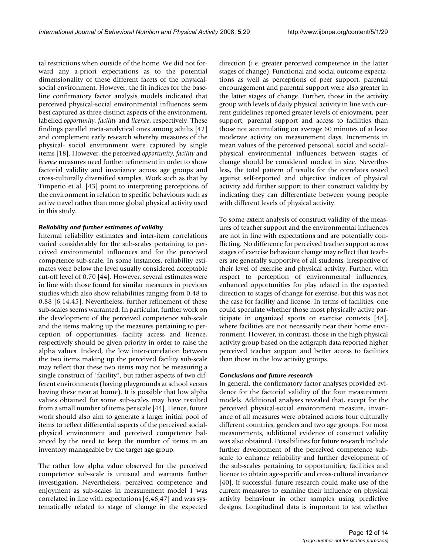tal restrictions when outside of the home. We did not forward any a-priori expectations as to the potential dimensionality of these different facets of the physicalsocial environment. However, the fit indices for the baseline confirmatory factor analysis models indicated that perceived physical-social environmental influences seem best captured as three distinct aspects of the environment, labelled *opportunity*, *facility* and *licence*, respectively. These findings parallel meta-analytical ones among adults [42] and complement early research whereby measures of the physical- social environment were captured by single items [18]. However, the perceived *opportunity*, *facility* and *licence* measures need further refinement in order to show factorial validity and invariance across age groups and cross-culturally diversified samples. Work such as that by Timperio et al. [43] point to interpreting perceptions of the environment in relation to specific behaviours such as active travel rather than more global physical activity used in this study.

# *Reliability and further estimates of validity*

Internal reliability estimates and inter-item correlations varied considerably for the sub-scales pertaining to perceived environmental influences and for the perceived competence sub-scale. In some instances, reliability estimates were below the level usually considered acceptable cut-off level of 0.70 [44]. However, several estimates were in line with those found for similar measures in previous studies which also show reliabilities ranging from 0.48 to 0.88 [6,14,45]. Nevertheless, further refinement of these sub-scales seems warranted. In particular, further work on the development of the perceived competence sub-scale and the items making up the measures pertaining to perception of opportunities, facility access and licence, respectively should be given priority in order to raise the alpha values. Indeed, the low inter-correlation between the two items making up the perceived facility sub-scale may reflect that these two items may not be measuring a single construct of "facility", but rather aspects of two different environments (having playgrounds at school versus having these near at home). It is possible that low alpha values obtained for some sub-scales may have resulted from a small number of items per scale [44]. Hence, future work should also aim to generate a larger initial pool of items to reflect differential aspects of the perceived socialphysical environment and perceived competence balanced by the need to keep the number of items in an inventory manageable by the target age group.

The rather low alpha value observed for the perceived competence sub-scale is unusual and warrants further investigation. Nevertheless, perceived competence and enjoyment as sub-scales in measurement model 1 was correlated in line with expectations [6,46,47] and was systematically related to stage of change in the expected direction (i.e. greater perceived competence in the latter stages of change). Functional and social outcome expectations as well as perceptions of peer support, parental encouragement and parental support were also greater in the latter stages of change. Further, those in the activity group with levels of daily physical activity in line with current guidelines reported greater levels of enjoyment, peer support, parental support and access to facilities than those not accumulating on average 60 minutes of at least moderate activity on measurement days. Increments in mean values of the perceived personal, social and socialphysical environmental influences between stages of change should be considered modest in size. Nevertheless, the total pattern of results for the correlates tested against self-reported and objective indices of physical activity add further support to their construct validity by indicating they can differentiate between young people with different levels of physical activity.

To some extent analysis of construct validity of the measures of teacher support and the environmental influences are not in line with expectations and are potentially conflicting. No difference for perceived teacher support across stages of exercise behaviour change may reflect that teachers are generally supportive of all students, irrespective of their level of exercise and physical activity. Further, with respect to perception of environmental influences, enhanced opportunities for play related in the expected direction to stages of change for exercise, but this was not the case for facility and license. In terms of facilities, one could speculate whether those most physically active participate in organized sports or exercise contexts [48], where facilities are not necessarily near their home environment. However, in contrast, those in the high physical activity group based on the actigraph data reported higher perceived teacher support and better access to facilities than those in the low activity groups.

## *Conclusions and future research*

In general, the confirmatory factor analyses provided evidence for the factorial validity of the four measurement models. Additional analyses revealed that, except for the perceived physical-social environment measure, invariance of all measures were obtained across four culturally different countries, genders and two age groups. For most measurements, additional evidence of construct validity was also obtained. Possibilities for future research include further development of the perceived competence subscale to enhance reliability and further development of the sub-scales pertaining to opportunities, facilities and licence to obtain age-specific and cross-cultural invariance [40]. If successful, future research could make use of the current measures to examine their influence on physical activity behaviour in other samples using predictive designs. Longitudinal data is important to test whether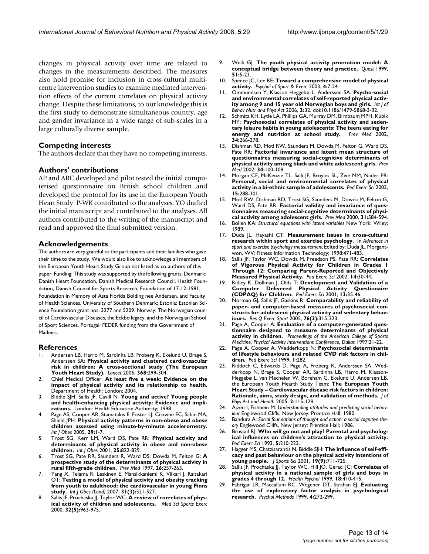changes in physical activity over time are related to changes in the measurements described. The measures also hold promise for inclusion in cross-cultural multicentre intervention studies to examine mediated intervention effects of the current correlates on physical activity change. Despite these limitations, to our knowledge this is the first study to demonstrate simultaneous country, age and gender invariance in a wide range of sub-scales in a large culturally diverse sample.

#### **Competing interests**

The authors declare that they have no competing interests.

## **Authors' contributions**

AP and ARC developed and pilot tested the initial computerised questionnaire on British school children and developed the protocol for its use in the European Youth Heart Study. P-WK contributed to the analyses. YO drafted the initial manuscript and contributed to the analyses. All authors contributed to the writing of the manuscript and read and approved the final submitted version.

#### **Acknowledgements**

The authors are very grateful to the participants and their families who gave their time to the study. We would also like to acknowledge all members of the European Youth Heart Study Group not listed as co-authors of this paper. Funding: This study was supported by the following grants: Denmark: Danish Heart Foundation, Danish Medical Research Council, Health Foundation, Danish Council for Sports Research, Foundation of 17-12-1981, Foundation in Memory of Asta Florida Bolding nee Andersen, and Faculty of Health Sciences, University of Southern Denmark; Estonia: Estonian Science Foundation grant nos. 3277 and 5209. Norway: The Norwegian council of Cardiovascular Diseases, the Eckbo legacy, and the Norwegian School of Sport Sciences. Portugal: FEDER funding from the Government of Madeira.

#### **References**

- 1. Andersen LB, Harro M, Sardinha LB, Froberg K, Ekelund U, Brage S, Anderssen SA: **[Physical activity and clustered cardiovascular](http://www.ncbi.nlm.nih.gov/entrez/query.fcgi?cmd=Retrieve&db=PubMed&dopt=Abstract&list_uids=16860699) [risk in children: A cross-sectional study \(The European](http://www.ncbi.nlm.nih.gov/entrez/query.fcgi?cmd=Retrieve&db=PubMed&dopt=Abstract&list_uids=16860699) [Youth Heart Study\).](http://www.ncbi.nlm.nih.gov/entrez/query.fcgi?cmd=Retrieve&db=PubMed&dopt=Abstract&list_uids=16860699)** *Lancet* 2006, **368:**299-304.
- 2. Chief Medical Officer: **At least five a week: Evidence on the impact of physical activity and its relationship to health.** Department of Health: London; 2004.
- 3. Biddle SJH, Sallis JF, Cavill N: **Young and active? Young people and health-enhancing physical activity: Evidence and implications.** London: Health Education Authority; 1998.
- Page AS, Cooper AR, Stamatakis E, Foster LJ, Crowne EC, Sabin MA, Shield JPH: **Physical activity patterns in non-obese and obese children assessed using minute-by-minute accelerometry.** *Int J Obes* 2005, **29:**1-7.
- 5. Trost SG, Kerr LM, Ward DS, Pate RR: **Physical activity and determinants of physical activity in obese and non-obese children.** *Int J Obes* 2001, **25:**822-829.
- 6. Trost SG, Pate RR, Saunders R, Ward DS, Dowda M, Felton G: **[A](http://www.ncbi.nlm.nih.gov/entrez/query.fcgi?cmd=Retrieve&db=PubMed&dopt=Abstract&list_uids=9085396) [prospective study of the determinants of physical activity in](http://www.ncbi.nlm.nih.gov/entrez/query.fcgi?cmd=Retrieve&db=PubMed&dopt=Abstract&list_uids=9085396) [rural fifth-grade children.](http://www.ncbi.nlm.nih.gov/entrez/query.fcgi?cmd=Retrieve&db=PubMed&dopt=Abstract&list_uids=9085396)** *Prev Med* 1997, **26:**257-263.
- 7. Yang X, Telama R, Leskinen E, Mansikkaniemi K, Viikari J, Raitakari OT: **[Testing a model of physical activity and obesity tracking](http://www.ncbi.nlm.nih.gov/entrez/query.fcgi?cmd=Retrieve&db=PubMed&dopt=Abstract&list_uids=16953253) [from youth to adulthood: the cardiovascular in young Finns](http://www.ncbi.nlm.nih.gov/entrez/query.fcgi?cmd=Retrieve&db=PubMed&dopt=Abstract&list_uids=16953253) [study.](http://www.ncbi.nlm.nih.gov/entrez/query.fcgi?cmd=Retrieve&db=PubMed&dopt=Abstract&list_uids=16953253)** *Int J Obes (Lond)* 2007, **31(3):**521-527.
- 8. Sallis JF, Prochaska JJ, Taylor WC: **[A review of correlates of phys](http://www.ncbi.nlm.nih.gov/entrez/query.fcgi?cmd=Retrieve&db=PubMed&dopt=Abstract&list_uids=10795788)[ical activity of children and adolescents.](http://www.ncbi.nlm.nih.gov/entrez/query.fcgi?cmd=Retrieve&db=PubMed&dopt=Abstract&list_uids=10795788)** *Med Sci Sports Exerc* 2000, **32(5):**963-975.
- 9. Welk GJ: **The youth physical activity promotion model: A conceptual bridge between theory and practice.** *Quest* 1999, **51:**5-23.
- 10. Spence JC, Lee RE: **Toward a comprehensive model of physical activity.** *Psychol of Sport & Exerc* 2003, **4:**7-24.
- 11. Ommundsen Y, Klasson Heggebø L, Anderssen SA: **Psycho-social and environmental correlates of self-reported physical activity among 9 and 15 year old Norwegian boys and girls.** *Int J of Behav Nutr and Phys Act* 2006, **3:**32. doi:10.1186/1479-5868-3-32.
- 12. Schmitz KH, Lytle LA, Phillips GA, Murray DM, Birnbaum MPH, Kubik MY: **[Psychosocial correlates of physical activity and seden](http://www.ncbi.nlm.nih.gov/entrez/query.fcgi?cmd=Retrieve&db=PubMed&dopt=Abstract&list_uids=11817924)[tary leisure habits in young adolescents: The teens eating for](http://www.ncbi.nlm.nih.gov/entrez/query.fcgi?cmd=Retrieve&db=PubMed&dopt=Abstract&list_uids=11817924) [energy and nutrition at school study.](http://www.ncbi.nlm.nih.gov/entrez/query.fcgi?cmd=Retrieve&db=PubMed&dopt=Abstract&list_uids=11817924)** *Prev Med* 2002, **34:**266-278.
- 13. Dishman RD, Motl RW, Saunders M, Dowda M, Felton G, Ward DS, Pate RR: **[Factorial invariance and latent mean structure of](http://www.ncbi.nlm.nih.gov/entrez/query.fcgi?cmd=Retrieve&db=PubMed&dopt=Abstract&list_uids=11749102) [questionnaires measuring social-cognitive determinants of](http://www.ncbi.nlm.nih.gov/entrez/query.fcgi?cmd=Retrieve&db=PubMed&dopt=Abstract&list_uids=11749102) [physical activity among black and white adolescent girls.](http://www.ncbi.nlm.nih.gov/entrez/query.fcgi?cmd=Retrieve&db=PubMed&dopt=Abstract&list_uids=11749102)** *Prev Med* 2002, **34:**100-108.
- 14. Morgan CF, McKenzie TL, Salli JF, Broyles SL, Zive MM, Nader PR: **Personal, social and environmental correlates of physical activity in a bi-ethnic sample of adolescents.** *Ped Exerc Sci* 2003, **15:**288-301.
- 15. Motl RW, Dishman RD, Trost SG, Saunders M, Dowda M, Felton G, Ward DS, Pate RR: **[Factorial validity and invariance of ques](http://www.ncbi.nlm.nih.gov/entrez/query.fcgi?cmd=Retrieve&db=PubMed&dopt=Abstract&list_uids=11071840)[tionnaires measuring social-cognitive determinants of physi](http://www.ncbi.nlm.nih.gov/entrez/query.fcgi?cmd=Retrieve&db=PubMed&dopt=Abstract&list_uids=11071840)[cal activity among adolescent girls.](http://www.ncbi.nlm.nih.gov/entrez/query.fcgi?cmd=Retrieve&db=PubMed&dopt=Abstract&list_uids=11071840)** *Prev Med* 2000, **31:**584-594.
- 16. Bollen KA: *Structural equations with latent variables* New York: Wiley; 1989.
- 17. Duda JL, Hayashi CT: **Measurement issues in cross-cultural research within sport and exercise psychology.** In *Advances in sport and exercise psychology measurement* Edited by: Duda JL. Morgantwon, WV: Fitness Information Technology; 1998:471-483.
- 18. Sallis JF, Taylor WC, Dowda M, Freedson PS, Pate RR: **Correlates of Vigorous Physical Activity for Children in Grades 1 Through 12: Comparing Parent-Reported and Objectively Measured Physical Activity.** *Ped Exerc Sci* 2002, **14:**30-44.
- 19. Ridley K, Dollman J, Olds T: **Development and Validation of a Computer Delivered Physical Activity Questionaire (CDPAQ) for Children.** *Ped Exerc Sci* 2001, **13:**35-46.
- 20. Norman GJ, Sallis JF, Gaskins R: **[Comparability and reliability of](http://www.ncbi.nlm.nih.gov/entrez/query.fcgi?cmd=Retrieve&db=PubMed&dopt=Abstract&list_uids=16270708) [paper- and computer-based measures of psychosocial con](http://www.ncbi.nlm.nih.gov/entrez/query.fcgi?cmd=Retrieve&db=PubMed&dopt=Abstract&list_uids=16270708)structs for adolescent physical activity and sedentary behav[iours.](http://www.ncbi.nlm.nih.gov/entrez/query.fcgi?cmd=Retrieve&db=PubMed&dopt=Abstract&list_uids=16270708)** *Res Q Exerc Sport* 2005, **76(3):**315-323.
- 21. Page A, Cooper A: **Evaluation of a computer-generated questionnaire designed to measure determinants of physical activity in children.** *Proceedings of the American College of Sports Medicine, Physical Activity Interventions Conference, Dallas* 1997:21-22.
- 22. Page A, Cooper A, Wedderkopp N: **Psychosocial determinants of lifestyle behaviours and related CVD risk factors in children.** *Ped Exerc Sci* 1999, **1:**282.
- 23. Riddoch C, Edwards D, Page A, Froberg K, Anderssen SA, Wedderkopp N, Brage S, Cooper AR, Sardinha LB, Harro M, Klasson-Heggebø L, van Mechelen W, Boreham C, Ekelund U, Andersen LB, the European Youth Hearth Study Team: **The European Youth Heart Study – Cardiovascular disease risk factors in children: Rationale, aims, study design, and validation of methods.** *J of Phys Act and Health* 2005, **2:**115-129.
- 24. Ajzen I, Fishbein M: *Understanding attitudes and predicting social behaviour* Englewood Cliffs, New Jersey: Prentice Hall; 1980.
- 25. Bandura A: *Social foundations of thought and action: a social cognitive theory* Englewood Cliffs, New Jersey: Prentice Hall; 1986.
- 26. Brustad RJ: **Who will go out and play? Parental and psychological influences on children's attraction to physical activity.** *Ped Exerc Sci* 1993, **5:**210-223.
- 27. Hagger MS, Chatzisarantis N, Biddle SJH: **[The influence of self-effi](http://www.ncbi.nlm.nih.gov/entrez/query.fcgi?cmd=Retrieve&db=PubMed&dopt=Abstract&list_uids=11522147)[cacy and past behaviour on the physical activity intentions of](http://www.ncbi.nlm.nih.gov/entrez/query.fcgi?cmd=Retrieve&db=PubMed&dopt=Abstract&list_uids=11522147) [young people.](http://www.ncbi.nlm.nih.gov/entrez/query.fcgi?cmd=Retrieve&db=PubMed&dopt=Abstract&list_uids=11522147)** *J Sports Sci* 2001, **19(9):**711-725.
- 28. Sallis JF, Prochaska JJ, Taylor WC, Hill JO, Geraci JC: **[Correlates of](http://www.ncbi.nlm.nih.gov/entrez/query.fcgi?cmd=Retrieve&db=PubMed&dopt=Abstract&list_uids=10431943) [physical activity in a national sample of girls and boys in](http://www.ncbi.nlm.nih.gov/entrez/query.fcgi?cmd=Retrieve&db=PubMed&dopt=Abstract&list_uids=10431943) [grades 4 through 12.](http://www.ncbi.nlm.nih.gov/entrez/query.fcgi?cmd=Retrieve&db=PubMed&dopt=Abstract&list_uids=10431943)** *Health Psychol* 1999, **18:**410-415.
- 29. Fabrigar LR, Maccallum RC, Wegener DT, Strahan EJ: **Evaluating the use of exploratory factor analysis in psychological research.** *Psychol Methods* 1999, **4:**272-299.